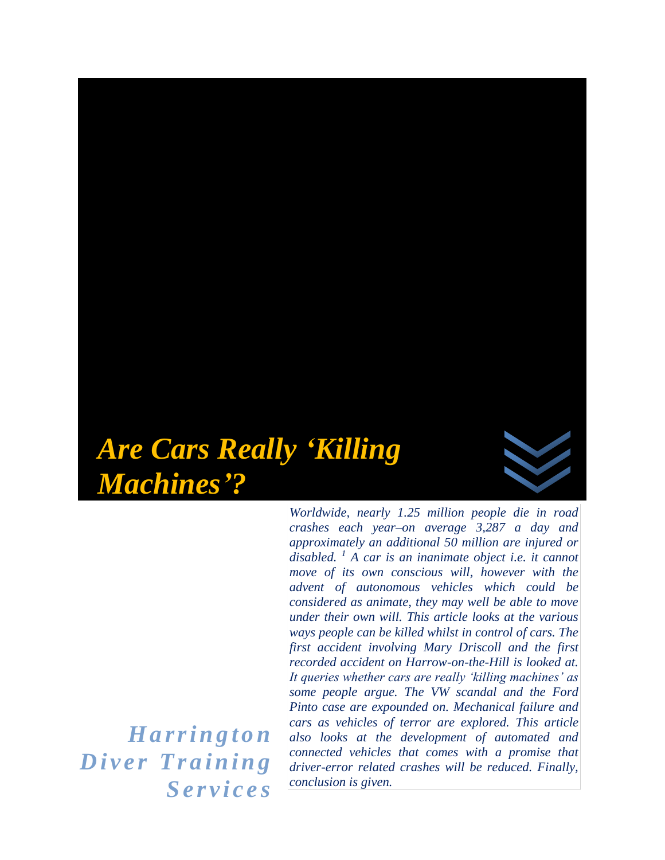# *Are Cars Really 'Killing Machines'?*

*Worldwide, nearly 1.25 million people die in road crashes each year–on average 3,287 a day and approximately an additional 50 million are injured or disabled. <sup>1</sup> A car is an inanimate object i.e. it cannot move of its own conscious will, however with the advent of autonomous vehicles which could be considered as animate, they may well be able to move under their own will. This article looks at the various ways people can be killed whilst in control of cars. The first accident involving Mary Driscoll and the first recorded accident on Harrow-on-the-Hill is looked at. It queries whether cars are really 'killing machines' as some people argue. The VW scandal and the Ford Pinto case are expounded on. Mechanical failure and cars as vehicles of terror are explored. This article also looks at the development of automated and connected vehicles that comes with a promise that driver-error related crashes will be reduced. Finally, conclusion is given.* 

*H a r r i n g t o n*   $Diver$  Training *S e r v i c e s*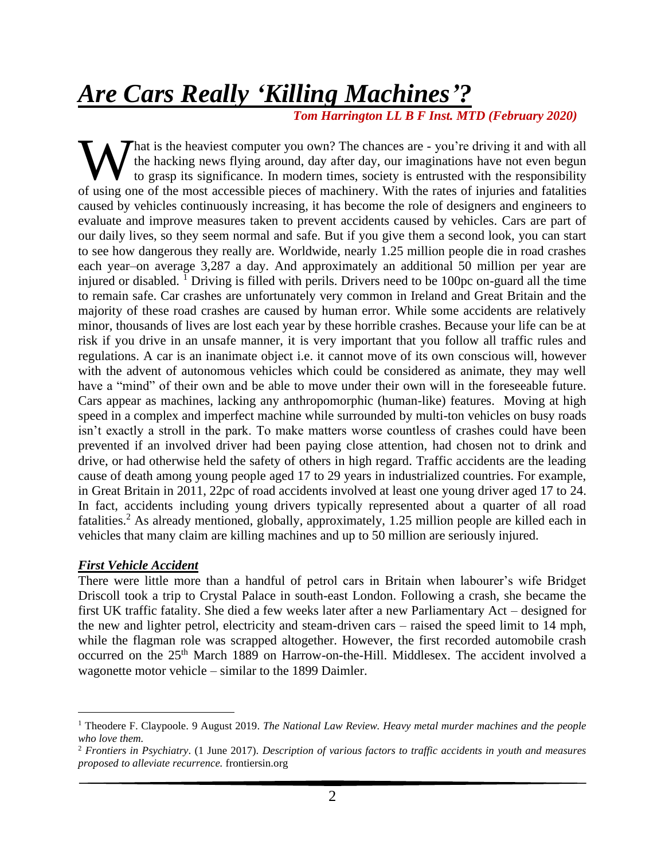# *Are Cars Really 'Killing Machines'?*

 *Tom Harrington LL B F Inst. MTD (February 2020)*

That is the heaviest computer you own? The chances are  $\sim$  you're driving it and with all the hacking news flying around, day after day, our imaginations have not even begun to grasp its significance. In modern times, society is entrusted with the responsibility What is the heaviest computer you own? The chances are - you're driving it and with all the hacking news flying around, day after day, our imaginations have not even begun to grasp its significance. In modern times, societ caused by vehicles continuously increasing, it has become the role of designers and engineers to evaluate and improve measures taken to prevent accidents caused by vehicles. Cars are part of our daily lives, so they seem normal and safe. But if you give them a second look, you can start to see how dangerous they really are. Worldwide, nearly 1.25 million people die in road crashes each year–on average 3,287 a day. And approximately an additional 50 million per year are injured or disabled.  $\frac{1}{1}$  Driving is filled with perils. Drivers need to be 100pc on-guard all the time to remain safe. Car crashes are unfortunately very common in Ireland and Great Britain and the majority of these road crashes are caused by human error. While some accidents are relatively minor, thousands of lives are lost each year by these horrible crashes. Because your life can be at risk if you drive in an unsafe manner, it is very important that you follow all traffic rules and regulations. A car is an inanimate object i.e. it cannot move of its own conscious will, however with the advent of autonomous vehicles which could be considered as animate, they may well have a "mind" of their own and be able to move under their own will in the foreseeable future. Cars appear as machines, lacking any anthropomorphic (human-like) features. Moving at high speed in a complex and imperfect machine while surrounded by multi-ton vehicles on busy roads isn't exactly a stroll in the park. To make matters worse countless of crashes could have been prevented if an involved driver had been paying close attention, had chosen not to drink and drive, or had otherwise held the safety of others in high regard. Traffic accidents are the leading cause of death among young people aged 17 to 29 years in industrialized countries. For example, in Great Britain in 2011, 22pc of road accidents involved at least one young driver aged 17 to 24. In fact, accidents including young drivers typically represented about a quarter of all road fatalities.<sup>2</sup> As already mentioned, globally, approximately, 1.25 million people are killed each in vehicles that many claim are killing machines and up to 50 million are seriously injured.

# *First Vehicle Accident*

There were little more than a handful of petrol cars in Britain when labourer's wife Bridget Driscoll took a trip to Crystal Palace in south-east London. Following a crash, she became the first UK traffic fatality. She died a few weeks later after a new Parliamentary Act – designed for the new and lighter petrol, electricity and steam-driven cars – raised the speed limit to 14 mph, while the flagman role was scrapped altogether. However, the first recorded automobile crash occurred on the 25<sup>th</sup> March 1889 on Harrow-on-the-Hill. Middlesex. The accident involved a wagonette motor vehicle – similar to the 1899 Daimler.

<sup>1</sup> Theodere F. Claypoole. 9 August 2019. *The National Law Review. Heavy metal murder machines and the people who love them.* 

<sup>2</sup> *Frontiers in Psychiatry*. (1 June 2017). *Description of various factors to traffic accidents in youth and measures proposed to alleviate recurrence.* frontiersin.org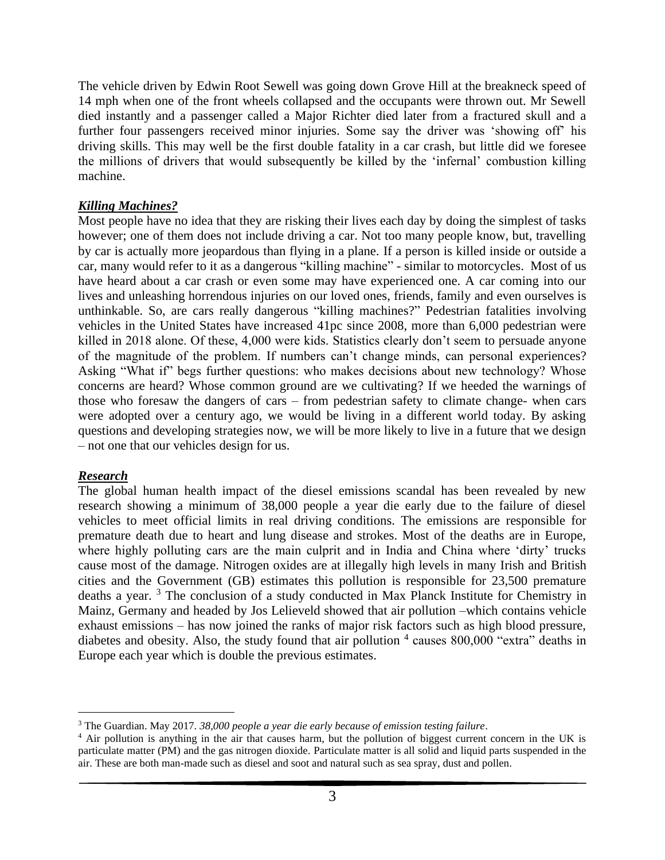The vehicle driven by Edwin Root Sewell was going down Grove Hill at the breakneck speed of 14 mph when one of the front wheels collapsed and the occupants were thrown out. Mr Sewell died instantly and a passenger called a Major Richter died later from a fractured skull and a further four passengers received minor injuries. Some say the driver was 'showing off' his driving skills. This may well be the first double fatality in a car crash, but little did we foresee the millions of drivers that would subsequently be killed by the 'infernal' combustion killing machine.

# *Killing Machines?*

Most people have no idea that they are risking their lives each day by doing the simplest of tasks however; one of them does not include driving a car. Not too many people know, but, travelling by car is actually more jeopardous than flying in a plane. If a person is killed inside or outside a car, many would refer to it as a dangerous "killing machine" - similar to motorcycles. Most of us have heard about a car crash or even some may have experienced one. A car coming into our lives and unleashing horrendous injuries on our loved ones, friends, family and even ourselves is unthinkable. So, are cars really dangerous "killing machines?" Pedestrian fatalities involving vehicles in the United States have increased 41pc since 2008, more than 6,000 pedestrian were killed in 2018 alone. Of these, 4,000 were kids. Statistics clearly don't seem to persuade anyone of the magnitude of the problem. If numbers can't change minds, can personal experiences? Asking "What if" begs further questions: who makes decisions about new technology? Whose concerns are heard? Whose common ground are we cultivating? If we heeded the warnings of those who foresaw the dangers of cars – from pedestrian safety to climate change- when cars were adopted over a century ago, we would be living in a different world today. By asking questions and developing strategies now, we will be more likely to live in a future that we design – not one that our vehicles design for us.

# *Research*

The global human health impact of the diesel emissions scandal has been revealed by new research showing a minimum of 38,000 people a year die early due to the failure of diesel vehicles to meet official limits in real driving conditions. The emissions are responsible for premature death due to heart and lung disease and strokes. Most of the deaths are in Europe, where highly polluting cars are the main culprit and in India and China where 'dirty' trucks cause most of the damage. Nitrogen oxides are at illegally high levels in many Irish and British cities and the Government (GB) estimates this pollution is responsible for 23,500 premature deaths a year.<sup>3</sup> The conclusion of a study conducted in Max Planck Institute for Chemistry in Mainz, Germany and headed by Jos Lelieveld showed that air pollution –which contains vehicle exhaust emissions – has now joined the ranks of major risk factors such as high blood pressure, diabetes and obesity. Also, the study found that air pollution  $<sup>4</sup>$  causes 800,000 "extra" deaths in</sup> Europe each year which is double the previous estimates.

<sup>3</sup> The Guardian. May 2017. *38,000 people a year die early because of emission testing failure*.

<sup>4</sup> Air pollution is anything in the air that causes harm, but the pollution of biggest current concern in the UK is particulate matter (PM) and the gas nitrogen dioxide. Particulate matter is all solid and liquid parts suspended in the air. These are both man-made such as diesel and soot and natural such as sea spray, dust and pollen.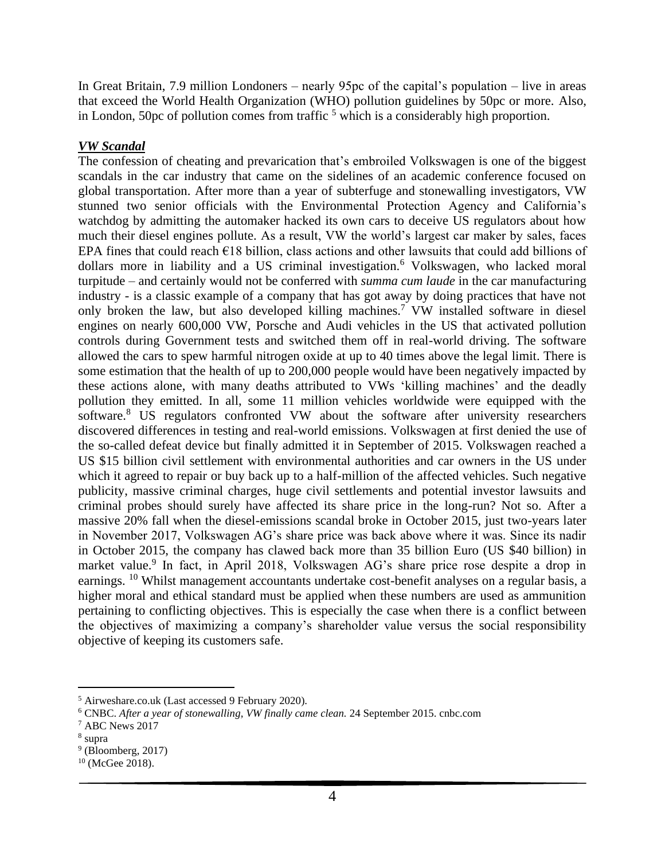In Great Britain, 7.9 million Londoners – nearly 95pc of the capital's population – live in areas that exceed the World Health Organization (WHO) pollution guidelines by 50pc or more. Also, in London, 50pc of pollution comes from traffic  $<sup>5</sup>$  which is a considerably high proportion.</sup>

# *VW Scandal*

The confession of cheating and prevarication that's embroiled Volkswagen is one of the biggest scandals in the car industry that came on the sidelines of an academic conference focused on global transportation. After more than a year of subterfuge and stonewalling investigators, VW stunned two senior officials with the Environmental Protection Agency and California's watchdog by admitting the automaker hacked its own cars to deceive US regulators about how much their diesel engines pollute. As a result, VW the world's largest car maker by sales, faces EPA fines that could reach €18 billion, class actions and other lawsuits that could add billions of dollars more in liability and a US criminal investigation.<sup>6</sup> Volkswagen, who lacked moral turpitude – and certainly would not be conferred with *summa cum laude* in the car manufacturing industry - is a classic example of a company that has got away by doing practices that have not only broken the law, but also developed killing machines.<sup>7</sup> VW installed software in diesel engines on nearly 600,000 VW, Porsche and Audi vehicles in the US that activated pollution controls during Government tests and switched them off in real-world driving. The software allowed the cars to spew harmful nitrogen oxide at up to 40 times above the legal limit. There is some estimation that the health of up to 200,000 people would have been negatively impacted by these actions alone, with many deaths attributed to VWs 'killing machines' and the deadly pollution they emitted. In all, some 11 million vehicles worldwide were equipped with the software.<sup>8</sup> US regulators confronted VW about the software after university researchers discovered differences in testing and real-world emissions. Volkswagen at first denied the use of the so-called defeat device but finally admitted it in September of 2015. Volkswagen reached a US \$15 billion civil settlement with environmental authorities and car owners in the US under which it agreed to repair or buy back up to a half-million of the affected vehicles. Such negative publicity, massive criminal charges, huge civil settlements and potential investor lawsuits and criminal probes should surely have affected its share price in the long-run? Not so. After a massive 20% fall when the diesel-emissions scandal broke in October 2015, just two-years later in November 2017, Volkswagen AG's share price was back above where it was. Since its nadir in October 2015, the company has clawed back more than 35 billion Euro (US \$40 billion) in market value.<sup>9</sup> In fact, in April 2018, Volkswagen AG's share price rose despite a drop in earnings. <sup>10</sup> Whilst management accountants undertake cost-benefit analyses on a regular basis, a higher moral and ethical standard must be applied when these numbers are used as ammunition pertaining to conflicting objectives. This is especially the case when there is a conflict between the objectives of maximizing a company's shareholder value versus the social responsibility objective of keeping its customers safe.

<sup>5</sup> Airweshare.co.uk (Last accessed 9 February 2020).

<sup>6</sup> CNBC. *After a year of stonewalling, VW finally came clean.* 24 September 2015. cnbc.com

<sup>7</sup> ABC News 2017

<sup>8</sup> supra

 $9$  (Bloomberg, 2017)

 $10$  (McGee 2018).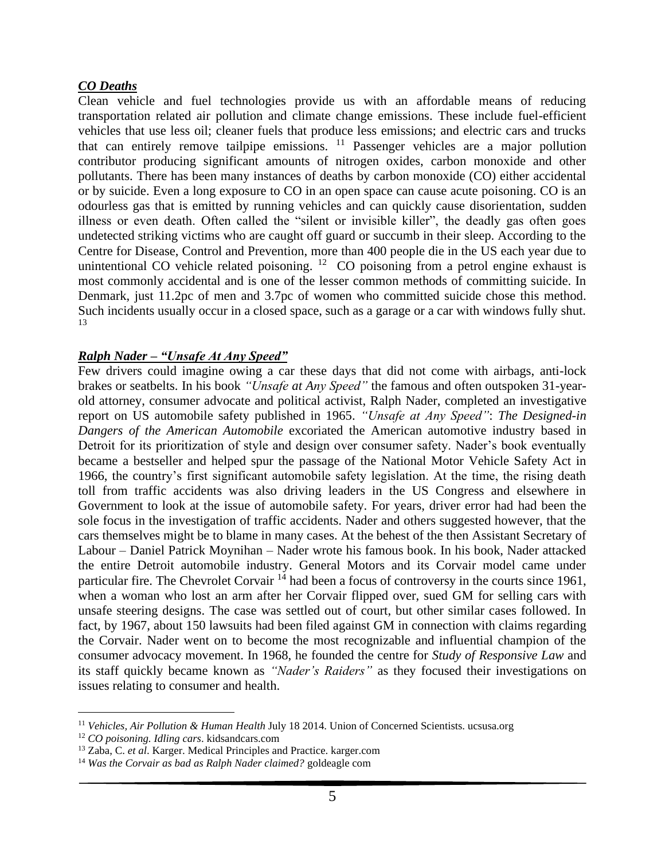## *CO Deaths*

Clean vehicle and fuel technologies provide us with an affordable means of reducing transportation related air pollution and climate change emissions. These include fuel-efficient vehicles that use less oil; cleaner fuels that produce less emissions; and electric cars and trucks that can entirely remove tailpipe emissions. <sup>11</sup> Passenger vehicles are a major pollution contributor producing significant amounts of nitrogen oxides, carbon monoxide and other pollutants. There has been many instances of deaths by carbon monoxide (CO) either accidental or by suicide. Even a long exposure to CO in an open space can cause acute poisoning. CO is an odourless gas that is emitted by running vehicles and can quickly cause disorientation, sudden illness or even death. Often called the "silent or invisible killer", the deadly gas often goes undetected striking victims who are caught off guard or succumb in their sleep. According to the Centre for Disease, Control and Prevention, more than 400 people die in the US each year due to unintentional CO vehicle related poisoning.  $12$  CO poisoning from a petrol engine exhaust is most commonly accidental and is one of the lesser common methods of committing suicide. In Denmark, just 11.2pc of men and 3.7pc of women who committed suicide chose this method. Such incidents usually occur in a closed space, such as a garage or a car with windows fully shut. 13

## *Ralph Nader – "Unsafe At Any Speed"*

Few drivers could imagine owing a car these days that did not come with airbags, anti-lock brakes or seatbelts. In his book *"Unsafe at Any Speed"* the famous and often outspoken 31-yearold attorney, consumer advocate and political activist, Ralph Nader, completed an investigative report on US automobile safety published in 1965. *"Unsafe at Any Speed"*: *The Designed-in Dangers of the American Automobile* excoriated the American automotive industry based in Detroit for its prioritization of style and design over consumer safety. Nader's book eventually became a bestseller and helped spur the passage of the National Motor Vehicle Safety Act in 1966, the country's first significant automobile safety legislation. At the time, the rising death toll from traffic accidents was also driving leaders in the US Congress and elsewhere in Government to look at the issue of automobile safety. For years, driver error had had been the sole focus in the investigation of traffic accidents. Nader and others suggested however, that the cars themselves might be to blame in many cases. At the behest of the then Assistant Secretary of Labour – Daniel Patrick Moynihan – Nader wrote his famous book. In his book, Nader attacked the entire Detroit automobile industry. General Motors and its Corvair model came under particular fire. The Chevrolet Corvair  $14$  had been a focus of controversy in the courts since 1961, when a woman who lost an arm after her Corvair flipped over, sued GM for selling cars with unsafe steering designs. The case was settled out of court, but other similar cases followed. In fact, by 1967, about 150 lawsuits had been filed against GM in connection with claims regarding the Corvair. Nader went on to become the most recognizable and influential champion of the consumer advocacy movement. In 1968, he founded the centre for *Study of Responsive Law* and its staff quickly became known as *"Nader's Raiders"* as they focused their investigations on issues relating to consumer and health.

<sup>11</sup> *Vehicles, Air Pollution & Human Health* July 18 2014. Union of Concerned Scientists. ucsusa.org

<sup>12</sup> *CO poisoning. Idling cars*. kidsandcars.com

<sup>13</sup> Zaba, C. *et al*. Karger. Medical Principles and Practice. karger.com

<sup>14</sup> *Was the Corvair as bad as Ralph Nader claimed?* goldeagle com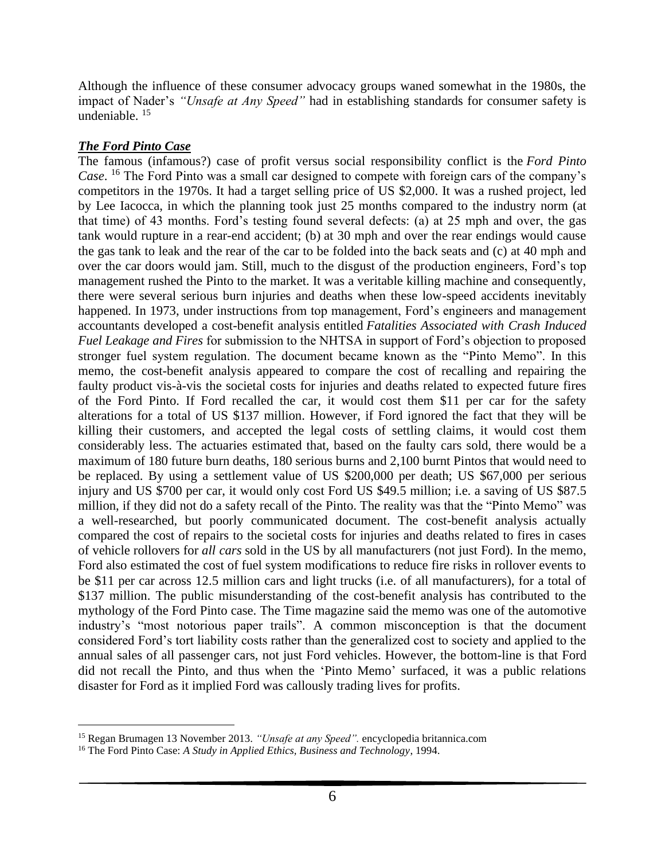Although the influence of these consumer advocacy groups waned somewhat in the 1980s, the impact of Nader's *"Unsafe at Any Speed"* had in establishing standards for consumer safety is undeniable. <sup>15</sup>

# *The Ford Pinto Case*

The famous (infamous?) case of profit versus social responsibility conflict is the *Ford Pinto Case*. <sup>16</sup> The Ford Pinto was a small car designed to compete with foreign cars of the company's competitors in the 1970s. It had a target selling price of US \$2,000. It was a rushed project, led by Lee Iacocca, in which the planning took just 25 months compared to the industry norm (at that time) of 43 months. Ford's testing found several defects: (a) at 25 mph and over, the gas tank would rupture in a rear-end accident; (b) at 30 mph and over the rear endings would cause the gas tank to leak and the rear of the car to be folded into the back seats and (c) at 40 mph and over the car doors would jam. Still, much to the disgust of the production engineers, Ford's top management rushed the Pinto to the market. It was a veritable killing machine and consequently, there were several serious burn injuries and deaths when these low-speed accidents inevitably happened. In 1973, under instructions from top management, Ford's engineers and management accountants developed a cost-benefit analysis entitled *Fatalities Associated with Crash Induced Fuel Leakage and Fires* for submission to the NHTSA in support of Ford's objection to proposed stronger fuel system regulation. The document became known as the "Pinto Memo". In this memo, the cost-benefit analysis appeared to compare the cost of recalling and repairing the faulty product vis-à-vis the societal costs for injuries and deaths related to expected future fires of the Ford Pinto. If Ford recalled the car, it would cost them \$11 per car for the safety alterations for a total of US \$137 million. However, if Ford ignored the fact that they will be killing their customers, and accepted the legal costs of settling claims, it would cost them considerably less. The actuaries estimated that, based on the faulty cars sold, there would be a maximum of 180 future burn deaths, 180 serious burns and 2,100 burnt Pintos that would need to be replaced. By using a settlement value of US \$200,000 per death; US \$67,000 per serious injury and US \$700 per car, it would only cost Ford US \$49.5 million; i.e. a saving of US \$87.5 million, if they did not do a safety recall of the Pinto. The reality was that the "Pinto Memo" was a well-researched, but poorly communicated document. The cost-benefit analysis actually compared the cost of repairs to the societal costs for injuries and deaths related to fires in cases of vehicle rollovers for *all cars* sold in the US by all manufacturers (not just Ford). In the memo, Ford also estimated the cost of fuel system modifications to reduce fire risks in rollover events to be \$11 per car across 12.5 million cars and light trucks (i.e. of all manufacturers), for a total of \$137 million. The public misunderstanding of the cost-benefit analysis has contributed to the mythology of the Ford Pinto case. The Time magazine said the memo was one of the automotive industry's "most notorious paper trails". A common misconception is that the document considered Ford's tort liability costs rather than the generalized cost to society and applied to the annual sales of all passenger cars, not just Ford vehicles. However, the bottom-line is that Ford did not recall the Pinto, and thus when the 'Pinto Memo' surfaced, it was a public relations disaster for Ford as it implied Ford was callously trading lives for profits.

<sup>15</sup> Regan Brumagen 13 November 2013. *"Unsafe at any Speed".* encyclopedia britannica.com

<sup>16</sup> The Ford Pinto Case: *A Study in Applied Ethics, Business and Technology*, 1994.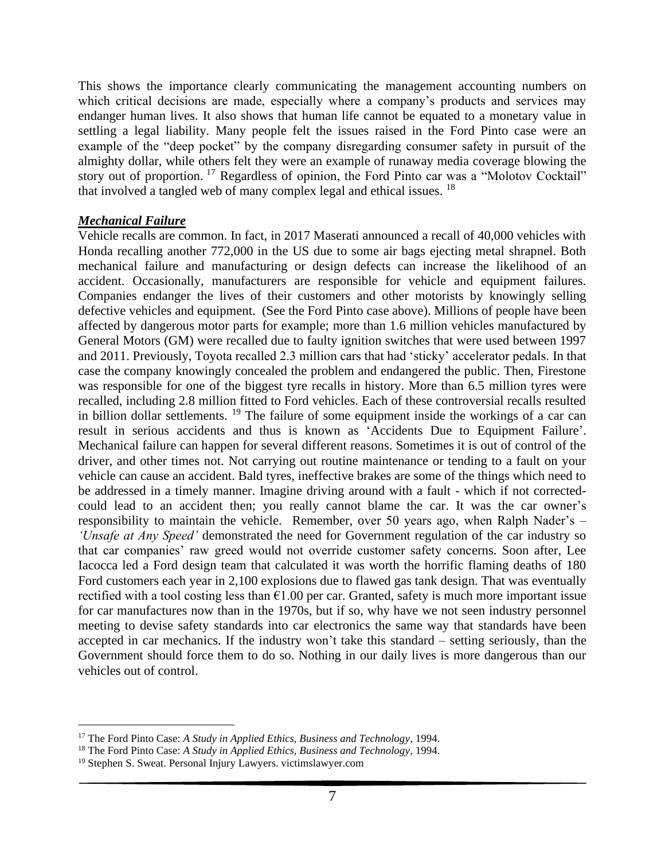This shows the importance clearly communicating the management accounting numbers on which critical decisions are made, especially where a company's products and services may endanger human lives. It also shows that human life cannot be equated to a monetary value in settling a legal liability. Many people felt the issues raised in the Ford Pinto case were an example of the "deep pocket" by the company disregarding consumer safety in pursuit of the almighty dollar, while others felt they were an example of runaway media coverage blowing the story out of proportion. <sup>17</sup> Regardless of opinion, the Ford Pinto car was a "Molotov Cocktail" that involved a tangled web of many complex legal and ethical issues. <sup>18</sup>

## *Mechanical Failure*

Vehicle recalls are common. In fact, in 2017 Maserati announced a recall of 40,000 vehicles with Honda recalling another 772,000 in the US due to some air bags ejecting metal shrapnel. Both mechanical failure and manufacturing or design defects can increase the likelihood of an accident. Occasionally, manufacturers are responsible for vehicle and equipment failures. Companies endanger the lives of their customers and other motorists by knowingly selling defective vehicles and equipment. (See the Ford Pinto case above). Millions of people have been affected by dangerous motor parts for example; more than 1.6 million vehicles manufactured by General Motors (GM) were recalled due to faulty ignition switches that were used between 1997 and 2011. Previously, Toyota recalled 2.3 million cars that had 'sticky' accelerator pedals. In that case the company knowingly concealed the problem and endangered the public. Then, Firestone was responsible for one of the biggest tyre recalls in history. More than 6.5 million tyres were recalled, including 2.8 million fitted to Ford vehicles. Each of these controversial recalls resulted in billion dollar settlements. <sup>19</sup> The failure of some equipment inside the workings of a car can result in serious accidents and thus is known as 'Accidents Due to Equipment Failure'. Mechanical failure can happen for several different reasons. Sometimes it is out of control of the driver, and other times not. Not carrying out routine maintenance or tending to a fault on your vehicle can cause an accident. Bald tyres, ineffective brakes are some of the things which need to be addressed in a timely manner. Imagine driving around with a fault - which if not correctedcould lead to an accident then; you really cannot blame the car. It was the car owner's responsibility to maintain the vehicle. Remember, over 50 years ago, when Ralph Nader's *– 'Unsafe at Any Speed'* demonstrated the need for Government regulation of the car industry so that car companies' raw greed would not override customer safety concerns. Soon after, Lee Iacocca led a Ford design team that calculated it was worth the horrific flaming deaths of 180 Ford customers each year in 2,100 explosions due to flawed gas tank design. That was eventually rectified with a tool costing less than  $\epsilon$ 1.00 per car. Granted, safety is much more important issue for car manufactures now than in the 1970s, but if so, why have we not seen industry personnel meeting to devise safety standards into car electronics the same way that standards have been accepted in car mechanics. If the industry won't take this standard – setting seriously, than the Government should force them to do so. Nothing in our daily lives is more dangerous than our vehicles out of control.

<sup>17</sup> The Ford Pinto Case: *A Study in Applied Ethics, Business and Technology*, 1994.

<sup>18</sup> The Ford Pinto Case: *A Study in Applied Ethics, Business and Technology*, 1994.

<sup>19</sup> Stephen S. Sweat. Personal Injury Lawyers. victimslawyer.com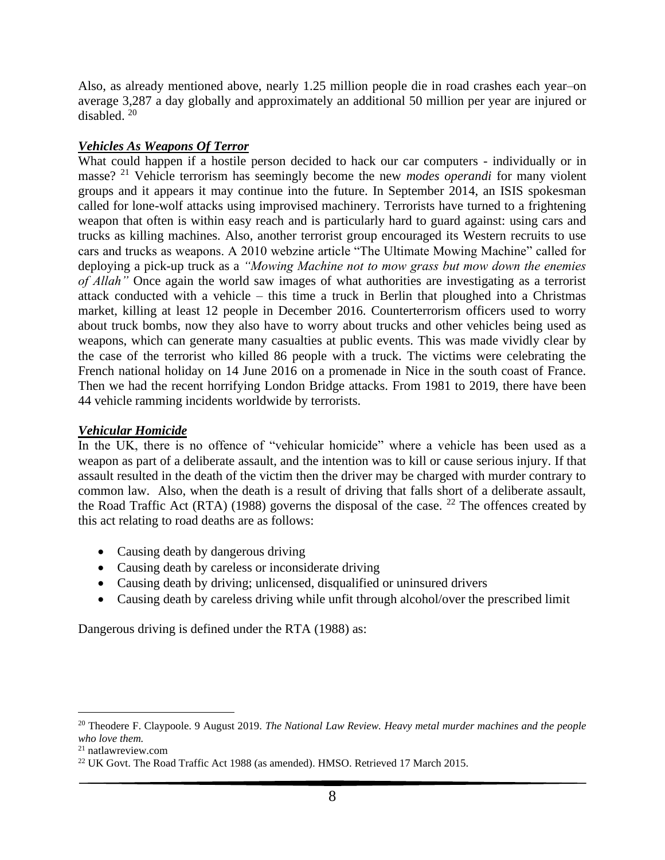Also, as already mentioned above, nearly 1.25 million people die in road crashes each year–on average 3,287 a day globally and approximately an additional 50 million per year are injured or disabled. <sup>20</sup>

# *Vehicles As Weapons Of Terror*

What could happen if a hostile person decided to hack our car computers - individually or in masse? <sup>21</sup> Vehicle terrorism has seemingly become the new *modes operandi* for many violent groups and it appears it may continue into the future. In September 2014, an ISIS spokesman called for lone-wolf attacks using improvised machinery. Terrorists have turned to a frightening weapon that often is within easy reach and is particularly hard to guard against: using cars and trucks as killing machines. Also, another terrorist group encouraged its Western recruits to use cars and trucks as weapons. A 2010 webzine article "The Ultimate Mowing Machine" called for deploying a pick-up truck as a *"Mowing Machine not to mow grass but mow down the enemies of Allah"* Once again the world saw images of what authorities are investigating as a terrorist attack conducted with a vehicle – this time a truck in Berlin that ploughed into a Christmas market, killing at least 12 people in December 2016. Counterterrorism officers used to worry about truck bombs, now they also have to worry about trucks and other vehicles being used as weapons, which can generate many casualties at public events. This was made vividly clear by the case of the terrorist who killed 86 people with a truck. The victims were celebrating the French national holiday on 14 June 2016 on a promenade in Nice in the south coast of France. Then we had the recent horrifying London Bridge attacks. From 1981 to 2019, there have been 44 vehicle ramming incidents worldwide by terrorists.

#### *Vehicular Homicide*

In the UK, there is no offence of "vehicular homicide" where a vehicle has been used as a weapon as part of a deliberate assault, and the intention was to kill or cause serious injury. If that assault resulted in the death of the victim then the driver may be charged with murder contrary to common law. Also, when the death is a result of driving that falls short of a deliberate assault, the Road Traffic Act (RTA) (1988) governs the disposal of the case. <sup>22</sup> The offences created by this act relating to road deaths are as follows:

- Causing death by dangerous driving
- Causing death by careless or inconsiderate driving
- Causing death by driving; unlicensed, disqualified or uninsured drivers
- Causing death by careless driving while unfit through alcohol/over the prescribed limit

Dangerous driving is defined under the RTA (1988) as:

<sup>20</sup> Theodere F. Claypoole. 9 August 2019. *The National Law Review. Heavy metal murder machines and the people who love them.* 

<sup>21</sup> natlawreview.com

<sup>&</sup>lt;sup>22</sup> UK Govt. The Road Traffic Act 1988 (as amended). HMSO. Retrieved 17 March 2015.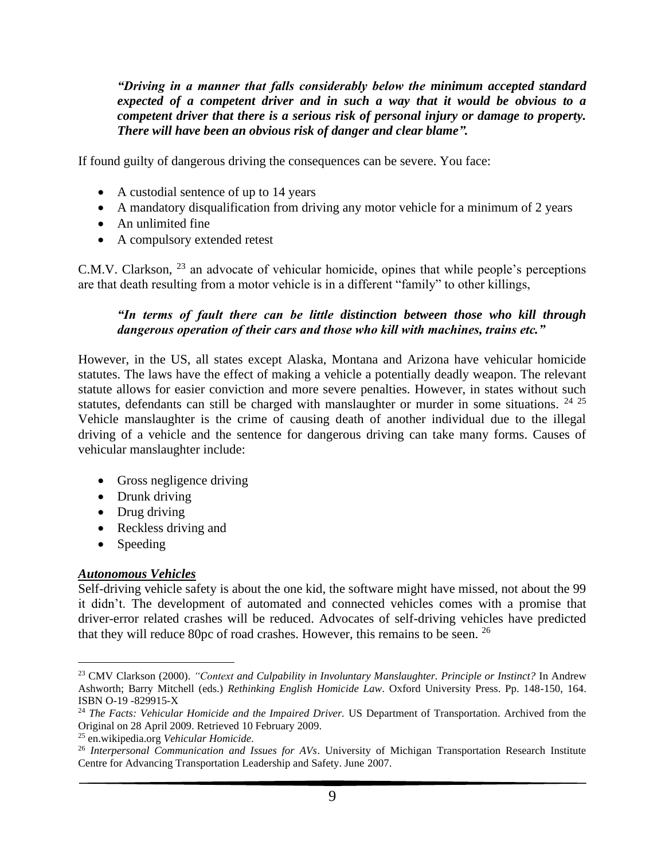*"Driving in a manner that falls considerably below the minimum accepted standard expected of a competent driver and in such a way that it would be obvious to a competent driver that there is a serious risk of personal injury or damage to property. There will have been an obvious risk of danger and clear blame".* 

If found guilty of dangerous driving the consequences can be severe. You face:

- A custodial sentence of up to 14 years
- A mandatory disqualification from driving any motor vehicle for a minimum of 2 years
- An unlimited fine
- A compulsory extended retest

C.M.V. Clarkson, <sup>23</sup> an advocate of vehicular homicide, opines that while people's perceptions are that death resulting from a motor vehicle is in a different "family" to other killings,

# *"In terms of fault there can be little distinction between those who kill through dangerous operation of their cars and those who kill with machines, trains etc."*

However, in the US, all states except Alaska, Montana and Arizona have vehicular homicide statutes. The laws have the effect of making a vehicle a potentially deadly weapon. The relevant statute allows for easier conviction and more severe penalties. However, in states without such statutes, defendants can still be charged with manslaughter or murder in some situations. <sup>24 25</sup> Vehicle manslaughter is the crime of causing death of another individual due to the illegal driving of a vehicle and the sentence for dangerous driving can take many forms. Causes of vehicular manslaughter include:

- Gross negligence driving
- Drunk driving
- Drug driving
- Reckless driving and
- Speeding

# *Autonomous Vehicles*

Self-driving vehicle safety is about the one kid, the software might have missed, not about the 99 it didn't. The development of automated and connected vehicles comes with a promise that driver-error related crashes will be reduced. Advocates of self-driving vehicles have predicted that they will reduce 80pc of road crashes. However, this remains to be seen. <sup>26</sup>

<sup>23</sup> CMV Clarkson (2000). *"Context and Culpability in Involuntary Manslaughter. Principle or Instinct?* In Andrew Ashworth; Barry Mitchell (eds.) *Rethinking English Homicide Law*. Oxford University Press. Pp. 148-150, 164. ISBN O-19 -829915-X

<sup>24</sup> *The Facts: Vehicular Homicide and the Impaired Driver.* US Department of Transportation. Archived from the Original on 28 April 2009. Retrieved 10 February 2009.

<sup>25</sup> en.wikipedia.org *Vehicular Homicide.*

<sup>26</sup> *Interpersonal Communication and Issues for AVs*. University of Michigan Transportation Research Institute Centre for Advancing Transportation Leadership and Safety. June 2007.